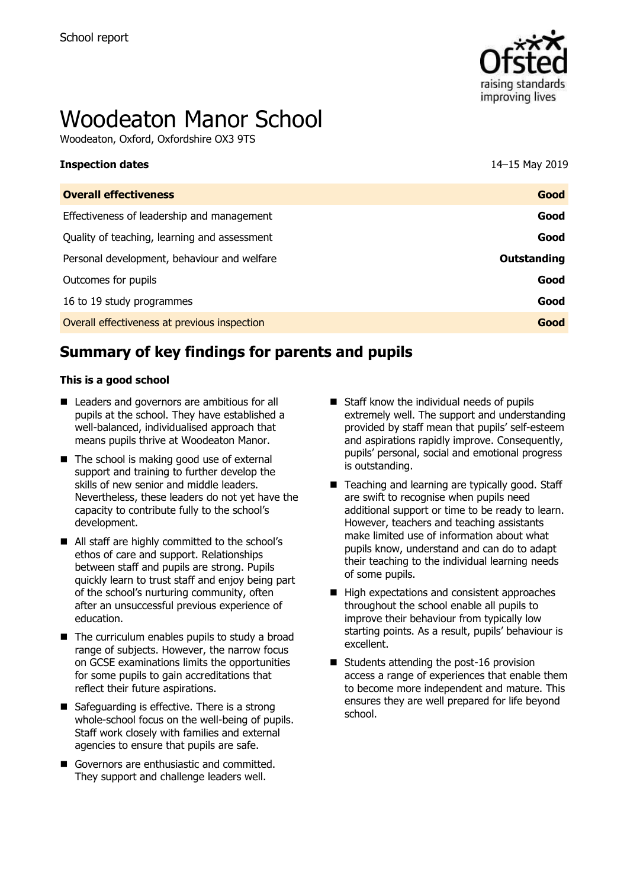

# Woodeaton Manor School

Woodeaton, Oxford, Oxfordshire OX3 9TS

| <b>Inspection dates</b>                      | 14–15 May 2019 |
|----------------------------------------------|----------------|
| <b>Overall effectiveness</b>                 | Good           |
| Effectiveness of leadership and management   | Good           |
| Quality of teaching, learning and assessment | Good           |
| Personal development, behaviour and welfare  | Outstanding    |
| Outcomes for pupils                          | Good           |
| 16 to 19 study programmes                    | Good           |
| Overall effectiveness at previous inspection | Good           |
|                                              |                |

# **Summary of key findings for parents and pupils**

#### **This is a good school**

- Leaders and governors are ambitious for all pupils at the school. They have established a well-balanced, individualised approach that means pupils thrive at Woodeaton Manor.
- $\blacksquare$  The school is making good use of external support and training to further develop the skills of new senior and middle leaders. Nevertheless, these leaders do not yet have the capacity to contribute fully to the school's development.
- All staff are highly committed to the school's ethos of care and support. Relationships between staff and pupils are strong. Pupils quickly learn to trust staff and enjoy being part of the school's nurturing community, often after an unsuccessful previous experience of education.
- $\blacksquare$  The curriculum enables pupils to study a broad range of subjects. However, the narrow focus on GCSE examinations limits the opportunities for some pupils to gain accreditations that reflect their future aspirations.
- Safeguarding is effective. There is a strong whole-school focus on the well-being of pupils. Staff work closely with families and external agencies to ensure that pupils are safe.
- Governors are enthusiastic and committed. They support and challenge leaders well.
- $\blacksquare$  Staff know the individual needs of pupils extremely well. The support and understanding provided by staff mean that pupils' self-esteem and aspirations rapidly improve. Consequently, pupils' personal, social and emotional progress is outstanding.
- Teaching and learning are typically good. Staff are swift to recognise when pupils need additional support or time to be ready to learn. However, teachers and teaching assistants make limited use of information about what pupils know, understand and can do to adapt their teaching to the individual learning needs of some pupils.
- High expectations and consistent approaches throughout the school enable all pupils to improve their behaviour from typically low starting points. As a result, pupils' behaviour is excellent.
- $\blacksquare$  Students attending the post-16 provision access a range of experiences that enable them to become more independent and mature. This ensures they are well prepared for life beyond school.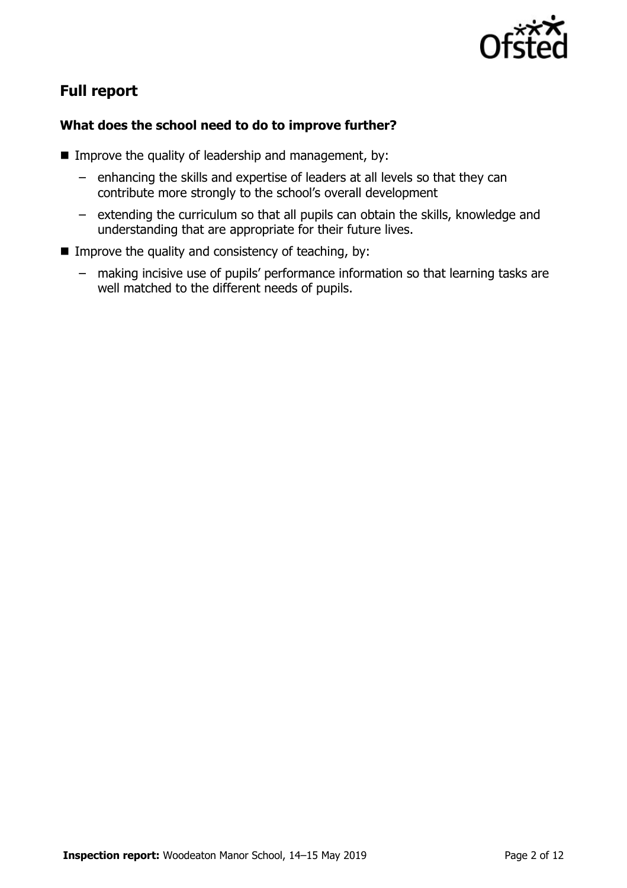

# **Full report**

### **What does the school need to do to improve further?**

- Improve the quality of leadership and management, by:
	- enhancing the skills and expertise of leaders at all levels so that they can contribute more strongly to the school's overall development
	- extending the curriculum so that all pupils can obtain the skills, knowledge and understanding that are appropriate for their future lives.
- Improve the quality and consistency of teaching, by:
	- making incisive use of pupils' performance information so that learning tasks are well matched to the different needs of pupils.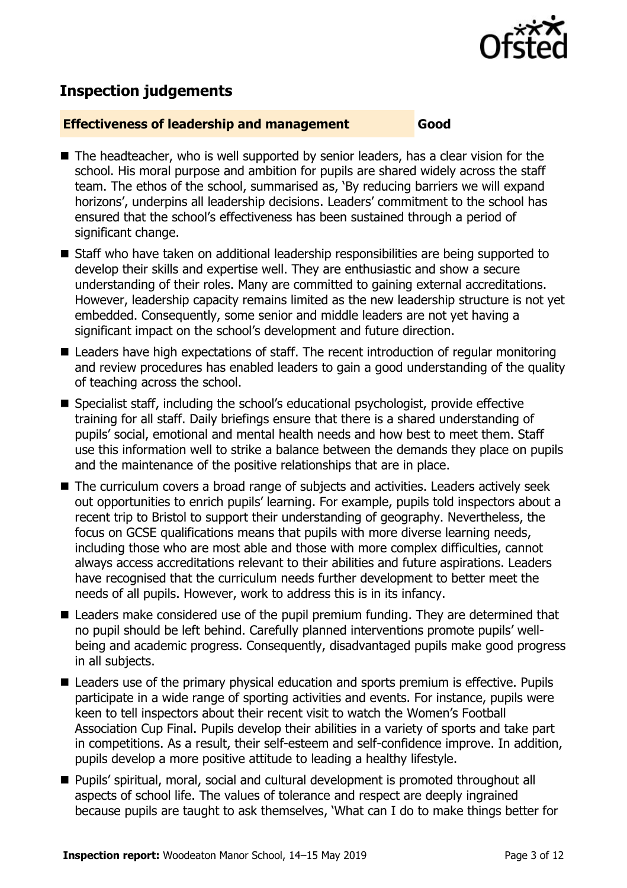

# **Inspection judgements**

#### **Effectiveness of leadership and management Good**

- The headteacher, who is well supported by senior leaders, has a clear vision for the school. His moral purpose and ambition for pupils are shared widely across the staff team. The ethos of the school, summarised as, 'By reducing barriers we will expand horizons', underpins all leadership decisions. Leaders' commitment to the school has ensured that the school's effectiveness has been sustained through a period of significant change.
- Staff who have taken on additional leadership responsibilities are being supported to develop their skills and expertise well. They are enthusiastic and show a secure understanding of their roles. Many are committed to gaining external accreditations. However, leadership capacity remains limited as the new leadership structure is not yet embedded. Consequently, some senior and middle leaders are not yet having a significant impact on the school's development and future direction.
- Leaders have high expectations of staff. The recent introduction of regular monitoring and review procedures has enabled leaders to gain a good understanding of the quality of teaching across the school.
- Specialist staff, including the school's educational psychologist, provide effective training for all staff. Daily briefings ensure that there is a shared understanding of pupils' social, emotional and mental health needs and how best to meet them. Staff use this information well to strike a balance between the demands they place on pupils and the maintenance of the positive relationships that are in place.
- The curriculum covers a broad range of subjects and activities. Leaders actively seek out opportunities to enrich pupils' learning. For example, pupils told inspectors about a recent trip to Bristol to support their understanding of geography. Nevertheless, the focus on GCSE qualifications means that pupils with more diverse learning needs, including those who are most able and those with more complex difficulties, cannot always access accreditations relevant to their abilities and future aspirations. Leaders have recognised that the curriculum needs further development to better meet the needs of all pupils. However, work to address this is in its infancy.
- Leaders make considered use of the pupil premium funding. They are determined that no pupil should be left behind. Carefully planned interventions promote pupils' wellbeing and academic progress. Consequently, disadvantaged pupils make good progress in all subjects.
- Leaders use of the primary physical education and sports premium is effective. Pupils participate in a wide range of sporting activities and events. For instance, pupils were keen to tell inspectors about their recent visit to watch the Women's Football Association Cup Final. Pupils develop their abilities in a variety of sports and take part in competitions. As a result, their self-esteem and self-confidence improve. In addition, pupils develop a more positive attitude to leading a healthy lifestyle.
- **Pupils' spiritual, moral, social and cultural development is promoted throughout all** aspects of school life. The values of tolerance and respect are deeply ingrained because pupils are taught to ask themselves, 'What can I do to make things better for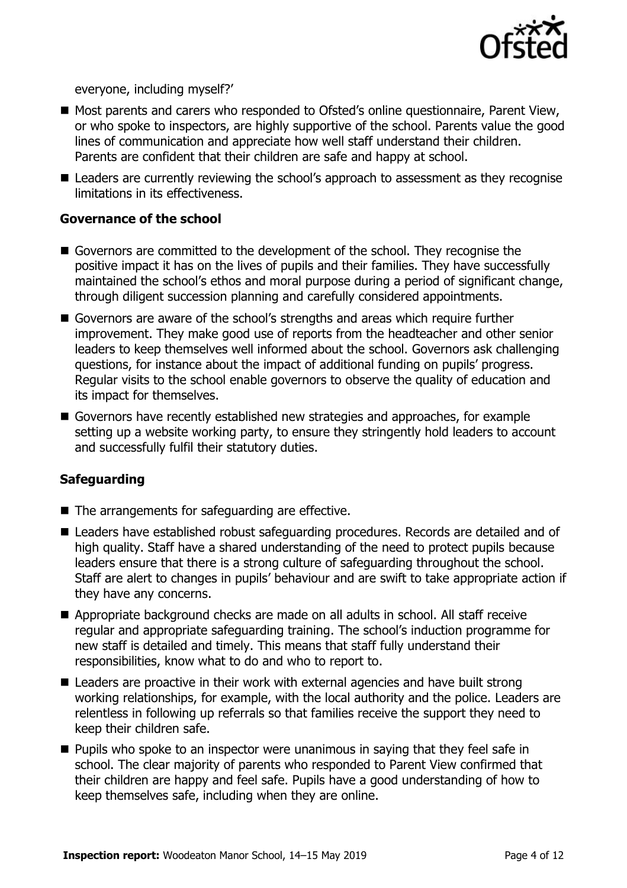

everyone, including myself?'

- Most parents and carers who responded to Ofsted's online questionnaire, Parent View, or who spoke to inspectors, are highly supportive of the school. Parents value the good lines of communication and appreciate how well staff understand their children. Parents are confident that their children are safe and happy at school.
- Leaders are currently reviewing the school's approach to assessment as they recognise limitations in its effectiveness.

#### **Governance of the school**

- Governors are committed to the development of the school. They recognise the positive impact it has on the lives of pupils and their families. They have successfully maintained the school's ethos and moral purpose during a period of significant change, through diligent succession planning and carefully considered appointments.
- Governors are aware of the school's strengths and areas which require further improvement. They make good use of reports from the headteacher and other senior leaders to keep themselves well informed about the school. Governors ask challenging questions, for instance about the impact of additional funding on pupils' progress. Regular visits to the school enable governors to observe the quality of education and its impact for themselves.
- Governors have recently established new strategies and approaches, for example setting up a website working party, to ensure they stringently hold leaders to account and successfully fulfil their statutory duties.

#### **Safeguarding**

- $\blacksquare$  The arrangements for safeguarding are effective.
- Leaders have established robust safeguarding procedures. Records are detailed and of high quality. Staff have a shared understanding of the need to protect pupils because leaders ensure that there is a strong culture of safeguarding throughout the school. Staff are alert to changes in pupils' behaviour and are swift to take appropriate action if they have any concerns.
- Appropriate background checks are made on all adults in school. All staff receive regular and appropriate safeguarding training. The school's induction programme for new staff is detailed and timely. This means that staff fully understand their responsibilities, know what to do and who to report to.
- Leaders are proactive in their work with external agencies and have built strong working relationships, for example, with the local authority and the police. Leaders are relentless in following up referrals so that families receive the support they need to keep their children safe.
- **Pupils who spoke to an inspector were unanimous in saying that they feel safe in** school. The clear majority of parents who responded to Parent View confirmed that their children are happy and feel safe. Pupils have a good understanding of how to keep themselves safe, including when they are online.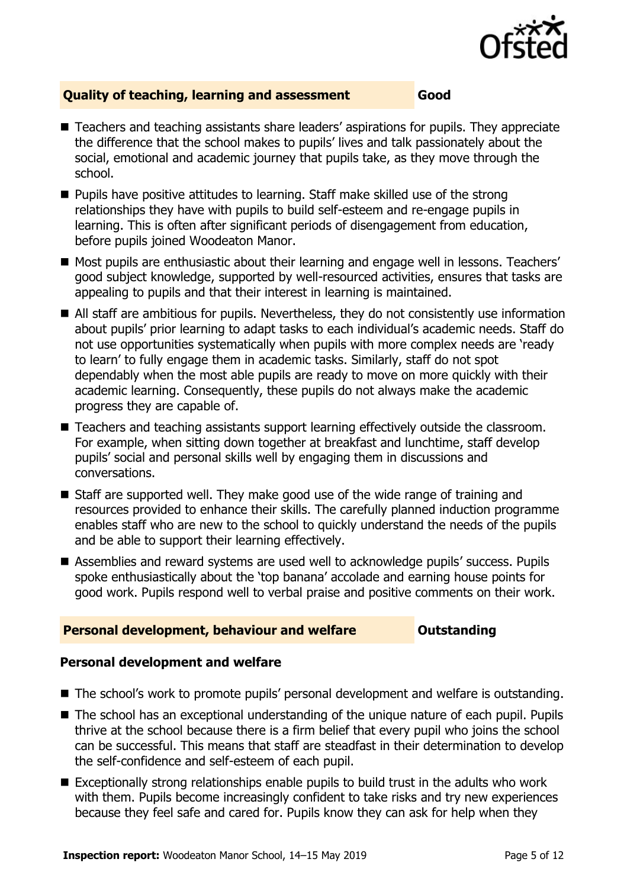

#### **Quality of teaching, learning and assessment Good**

- Teachers and teaching assistants share leaders' aspirations for pupils. They appreciate the difference that the school makes to pupils' lives and talk passionately about the social, emotional and academic journey that pupils take, as they move through the school.
- **Pupils have positive attitudes to learning. Staff make skilled use of the strong** relationships they have with pupils to build self-esteem and re-engage pupils in learning. This is often after significant periods of disengagement from education, before pupils joined Woodeaton Manor.
- Most pupils are enthusiastic about their learning and engage well in lessons. Teachers' good subject knowledge, supported by well-resourced activities, ensures that tasks are appealing to pupils and that their interest in learning is maintained.
- All staff are ambitious for pupils. Nevertheless, they do not consistently use information about pupils' prior learning to adapt tasks to each individual's academic needs. Staff do not use opportunities systematically when pupils with more complex needs are 'ready to learn' to fully engage them in academic tasks. Similarly, staff do not spot dependably when the most able pupils are ready to move on more quickly with their academic learning. Consequently, these pupils do not always make the academic progress they are capable of.
- Teachers and teaching assistants support learning effectively outside the classroom. For example, when sitting down together at breakfast and lunchtime, staff develop pupils' social and personal skills well by engaging them in discussions and conversations.
- Staff are supported well. They make good use of the wide range of training and resources provided to enhance their skills. The carefully planned induction programme enables staff who are new to the school to quickly understand the needs of the pupils and be able to support their learning effectively.
- Assemblies and reward systems are used well to acknowledge pupils' success. Pupils spoke enthusiastically about the 'top banana' accolade and earning house points for good work. Pupils respond well to verbal praise and positive comments on their work.

#### **Personal development, behaviour and welfare <b>COULTS** Outstanding

#### **Personal development and welfare**

- The school's work to promote pupils' personal development and welfare is outstanding.
- The school has an exceptional understanding of the unique nature of each pupil. Pupils thrive at the school because there is a firm belief that every pupil who joins the school can be successful. This means that staff are steadfast in their determination to develop the self-confidence and self-esteem of each pupil.
- Exceptionally strong relationships enable pupils to build trust in the adults who work with them. Pupils become increasingly confident to take risks and try new experiences because they feel safe and cared for. Pupils know they can ask for help when they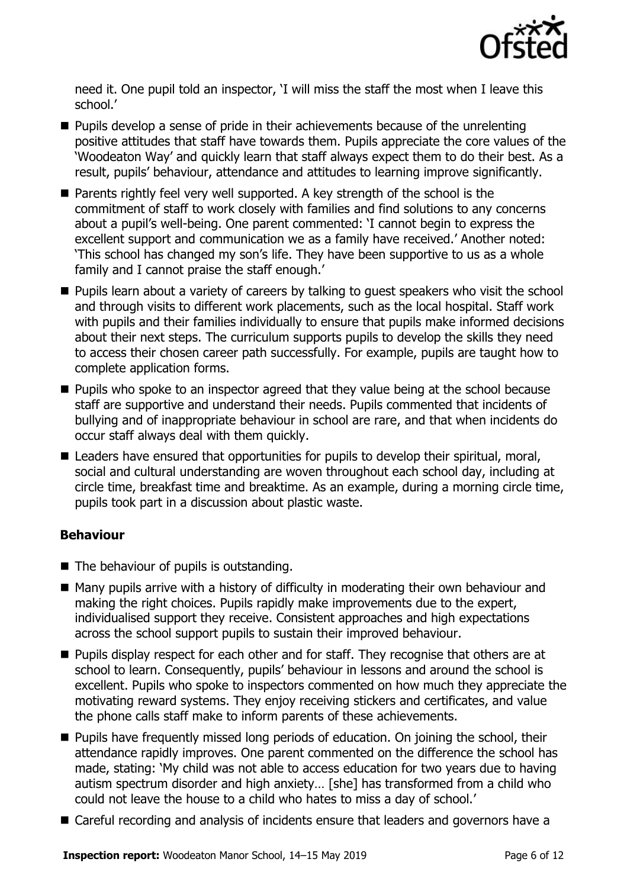

need it. One pupil told an inspector, 'I will miss the staff the most when I leave this school.'

- $\blacksquare$  Pupils develop a sense of pride in their achievements because of the unrelenting positive attitudes that staff have towards them. Pupils appreciate the core values of the 'Woodeaton Way' and quickly learn that staff always expect them to do their best. As a result, pupils' behaviour, attendance and attitudes to learning improve significantly.
- **Parents rightly feel very well supported. A key strength of the school is the** commitment of staff to work closely with families and find solutions to any concerns about a pupil's well-being. One parent commented: 'I cannot begin to express the excellent support and communication we as a family have received.' Another noted: 'This school has changed my son's life. They have been supportive to us as a whole family and I cannot praise the staff enough.'
- **Pupils learn about a variety of careers by talking to quest speakers who visit the school** and through visits to different work placements, such as the local hospital. Staff work with pupils and their families individually to ensure that pupils make informed decisions about their next steps. The curriculum supports pupils to develop the skills they need to access their chosen career path successfully. For example, pupils are taught how to complete application forms.
- **Pupils who spoke to an inspector agreed that they value being at the school because** staff are supportive and understand their needs. Pupils commented that incidents of bullying and of inappropriate behaviour in school are rare, and that when incidents do occur staff always deal with them quickly.
- Leaders have ensured that opportunities for pupils to develop their spiritual, moral, social and cultural understanding are woven throughout each school day, including at circle time, breakfast time and breaktime. As an example, during a morning circle time, pupils took part in a discussion about plastic waste.

#### **Behaviour**

- The behaviour of pupils is outstanding.
- Many pupils arrive with a history of difficulty in moderating their own behaviour and making the right choices. Pupils rapidly make improvements due to the expert, individualised support they receive. Consistent approaches and high expectations across the school support pupils to sustain their improved behaviour.
- **Pupils display respect for each other and for staff. They recognise that others are at** school to learn. Consequently, pupils' behaviour in lessons and around the school is excellent. Pupils who spoke to inspectors commented on how much they appreciate the motivating reward systems. They enjoy receiving stickers and certificates, and value the phone calls staff make to inform parents of these achievements.
- **Pupils have frequently missed long periods of education. On joining the school, their** attendance rapidly improves. One parent commented on the difference the school has made, stating: 'My child was not able to access education for two years due to having autism spectrum disorder and high anxiety… [she] has transformed from a child who could not leave the house to a child who hates to miss a day of school.'
- Careful recording and analysis of incidents ensure that leaders and governors have a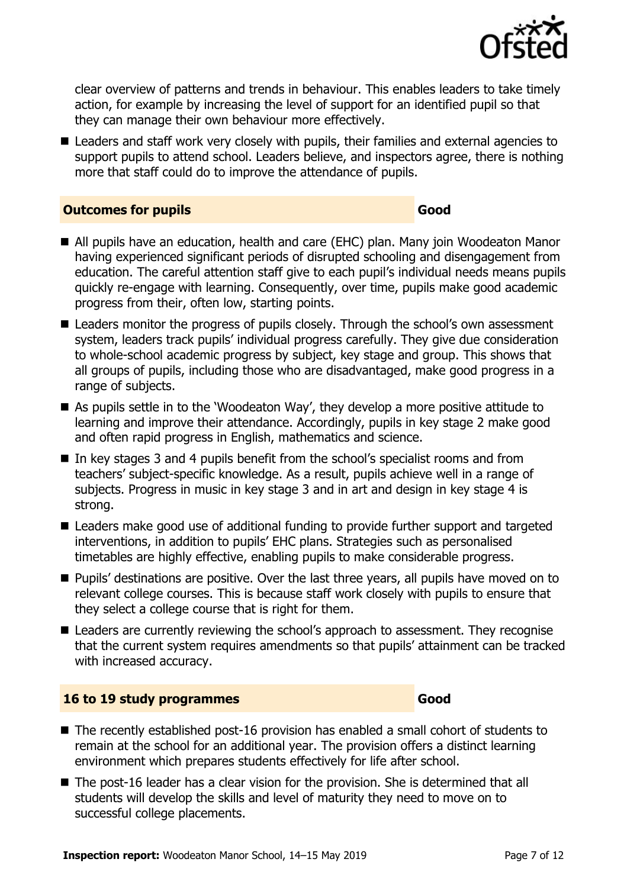

clear overview of patterns and trends in behaviour. This enables leaders to take timely action, for example by increasing the level of support for an identified pupil so that they can manage their own behaviour more effectively.

■ Leaders and staff work very closely with pupils, their families and external agencies to support pupils to attend school. Leaders believe, and inspectors agree, there is nothing more that staff could do to improve the attendance of pupils.

#### **Outcomes for pupils Good**

- All pupils have an education, health and care (EHC) plan. Many join Woodeaton Manor having experienced significant periods of disrupted schooling and disengagement from education. The careful attention staff give to each pupil's individual needs means pupils quickly re-engage with learning. Consequently, over time, pupils make good academic progress from their, often low, starting points.
- Leaders monitor the progress of pupils closely. Through the school's own assessment system, leaders track pupils' individual progress carefully. They give due consideration to whole-school academic progress by subject, key stage and group. This shows that all groups of pupils, including those who are disadvantaged, make good progress in a range of subjects.
- As pupils settle in to the 'Woodeaton Way', they develop a more positive attitude to learning and improve their attendance. Accordingly, pupils in key stage 2 make good and often rapid progress in English, mathematics and science.
- In key stages 3 and 4 pupils benefit from the school's specialist rooms and from teachers' subject-specific knowledge. As a result, pupils achieve well in a range of subjects. Progress in music in key stage 3 and in art and design in key stage 4 is strong.
- Leaders make good use of additional funding to provide further support and targeted interventions, in addition to pupils' EHC plans. Strategies such as personalised timetables are highly effective, enabling pupils to make considerable progress.
- **Pupils' destinations are positive. Over the last three years, all pupils have moved on to** relevant college courses. This is because staff work closely with pupils to ensure that they select a college course that is right for them.
- Leaders are currently reviewing the school's approach to assessment. They recognise that the current system requires amendments so that pupils' attainment can be tracked with increased accuracy.

#### **16 to 19 study programmes Good**

- The recently established post-16 provision has enabled a small cohort of students to remain at the school for an additional year. The provision offers a distinct learning environment which prepares students effectively for life after school.
- The post-16 leader has a clear vision for the provision. She is determined that all students will develop the skills and level of maturity they need to move on to successful college placements.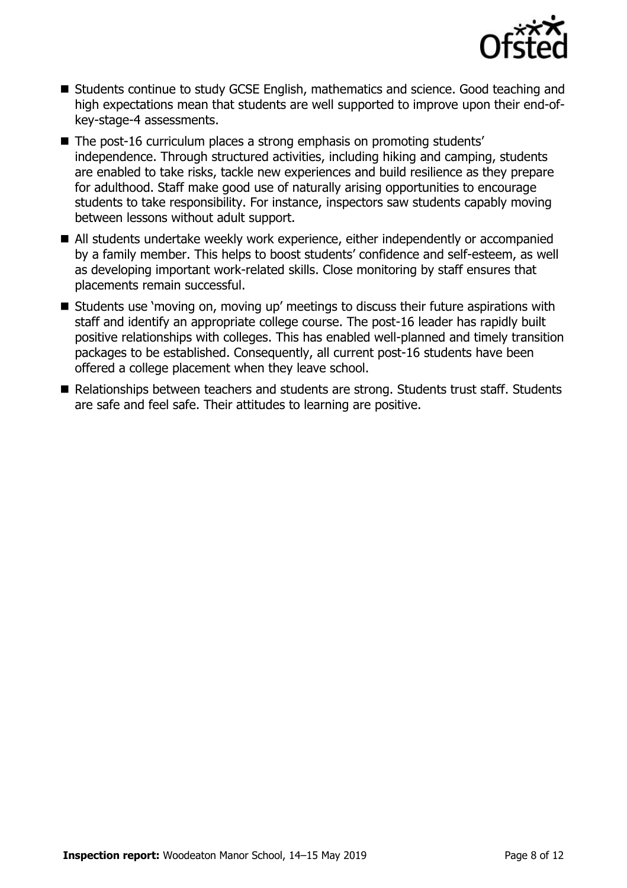

- Students continue to study GCSE English, mathematics and science. Good teaching and high expectations mean that students are well supported to improve upon their end-ofkey-stage-4 assessments.
- The post-16 curriculum places a strong emphasis on promoting students' independence. Through structured activities, including hiking and camping, students are enabled to take risks, tackle new experiences and build resilience as they prepare for adulthood. Staff make good use of naturally arising opportunities to encourage students to take responsibility. For instance, inspectors saw students capably moving between lessons without adult support.
- All students undertake weekly work experience, either independently or accompanied by a family member. This helps to boost students' confidence and self-esteem, as well as developing important work-related skills. Close monitoring by staff ensures that placements remain successful.
- Students use 'moving on, moving up' meetings to discuss their future aspirations with staff and identify an appropriate college course. The post-16 leader has rapidly built positive relationships with colleges. This has enabled well-planned and timely transition packages to be established. Consequently, all current post-16 students have been offered a college placement when they leave school.
- Relationships between teachers and students are strong. Students trust staff. Students are safe and feel safe. Their attitudes to learning are positive.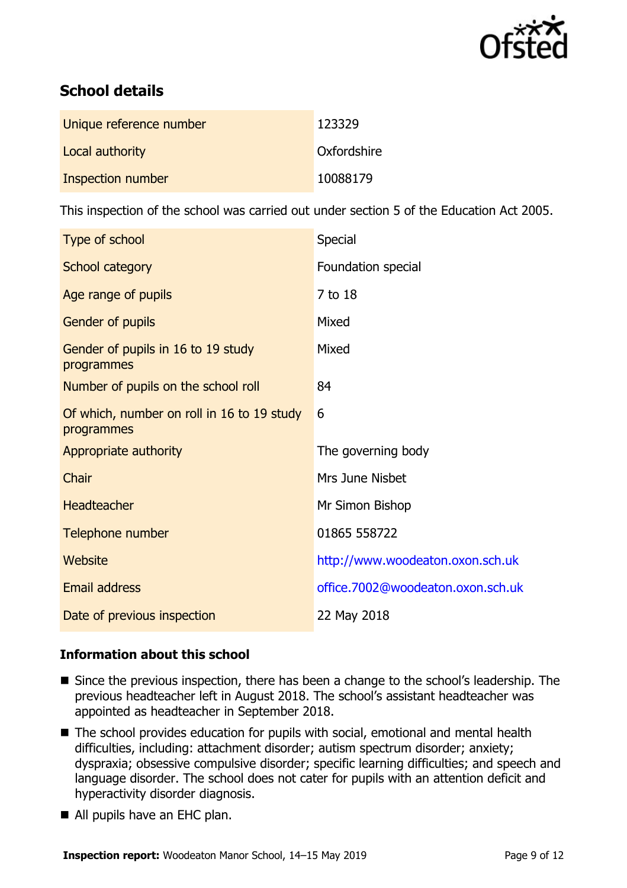

# **School details**

| Unique reference number | 123329      |
|-------------------------|-------------|
| Local authority         | Oxfordshire |
| Inspection number       | 10088179    |

This inspection of the school was carried out under section 5 of the Education Act 2005.

| Type of school                                           | Special                           |
|----------------------------------------------------------|-----------------------------------|
| School category                                          | Foundation special                |
| Age range of pupils                                      | 7 to 18                           |
| Gender of pupils                                         | Mixed                             |
| Gender of pupils in 16 to 19 study<br>programmes         | Mixed                             |
| Number of pupils on the school roll                      | 84                                |
| Of which, number on roll in 16 to 19 study<br>programmes | 6                                 |
| Appropriate authority                                    | The governing body                |
| Chair                                                    | Mrs June Nisbet                   |
| <b>Headteacher</b>                                       | Mr Simon Bishop                   |
| Telephone number                                         | 01865 558722                      |
| Website                                                  | http://www.woodeaton.oxon.sch.uk  |
| Email address                                            | office.7002@woodeaton.oxon.sch.uk |
| Date of previous inspection                              | 22 May 2018                       |

#### **Information about this school**

- Since the previous inspection, there has been a change to the school's leadership. The previous headteacher left in August 2018. The school's assistant headteacher was appointed as headteacher in September 2018.
- The school provides education for pupils with social, emotional and mental health difficulties, including: attachment disorder; autism spectrum disorder; anxiety; dyspraxia; obsessive compulsive disorder; specific learning difficulties; and speech and language disorder. The school does not cater for pupils with an attention deficit and hyperactivity disorder diagnosis.
- All pupils have an EHC plan.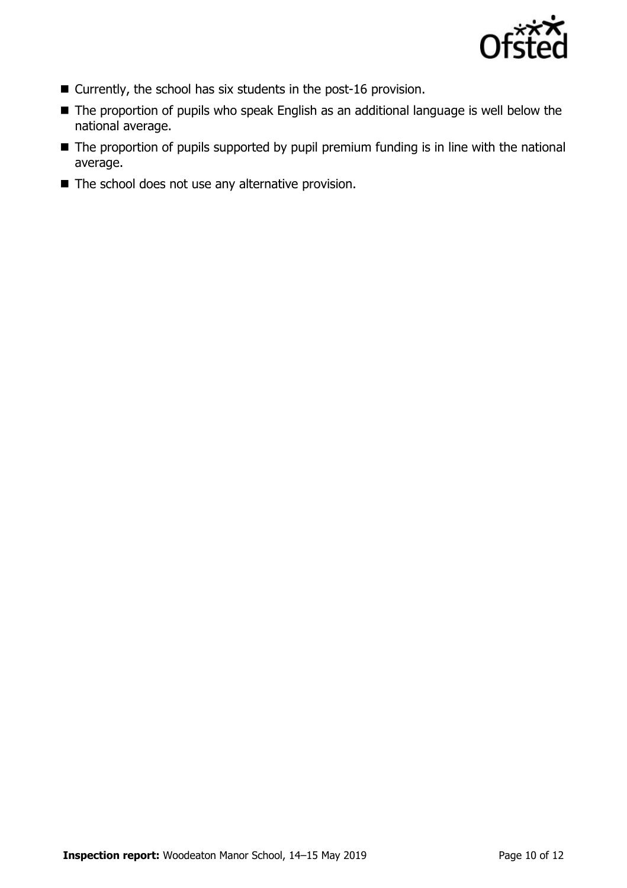

- Currently, the school has six students in the post-16 provision.
- The proportion of pupils who speak English as an additional language is well below the national average.
- The proportion of pupils supported by pupil premium funding is in line with the national average.
- The school does not use any alternative provision.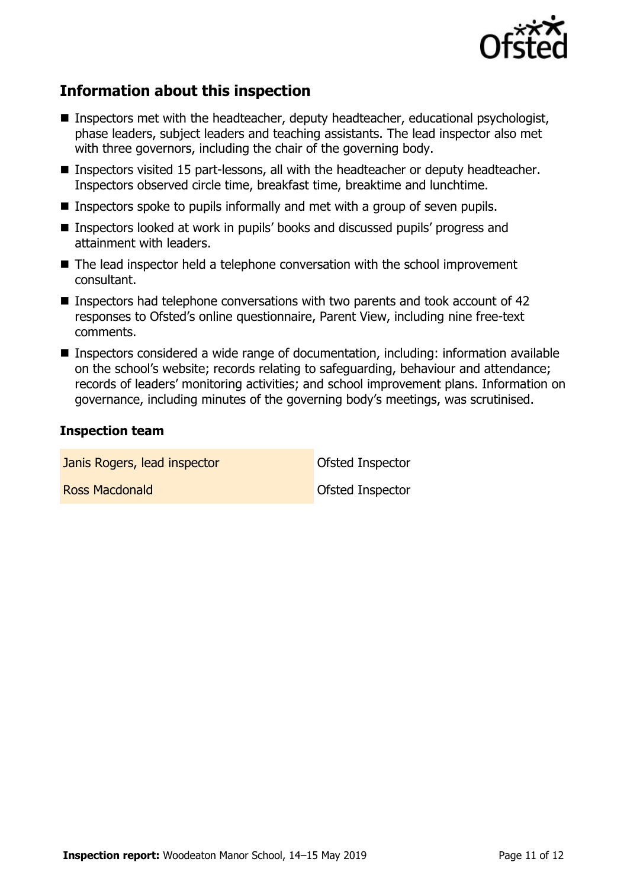

# **Information about this inspection**

- Inspectors met with the headteacher, deputy headteacher, educational psychologist, phase leaders, subject leaders and teaching assistants. The lead inspector also met with three governors, including the chair of the governing body.
- Inspectors visited 15 part-lessons, all with the headteacher or deputy headteacher. Inspectors observed circle time, breakfast time, breaktime and lunchtime.
- **Inspectors spoke to pupils informally and met with a group of seven pupils.**
- Inspectors looked at work in pupils' books and discussed pupils' progress and attainment with leaders.
- The lead inspector held a telephone conversation with the school improvement consultant.
- **Inspectors had telephone conversations with two parents and took account of 42** responses to Ofsted's online questionnaire, Parent View, including nine free-text comments.
- Inspectors considered a wide range of documentation, including: information available on the school's website; records relating to safeguarding, behaviour and attendance; records of leaders' monitoring activities; and school improvement plans. Information on governance, including minutes of the governing body's meetings, was scrutinised.

#### **Inspection team**

**Janis Rogers, lead inspector Constanting Constanting Constanting Constanting Constanting Constanting Constanting Constanting Constanting Constanting Constanting Constanting Constanting Constanting Constanting Constantin Ross Macdonald Contract Contract Contract Contract Contract Contract Contract Contract Contract Contract Contract Contract Contract Contract Contract Contract Contract Contract Contract Contract Contract Contract Contract**